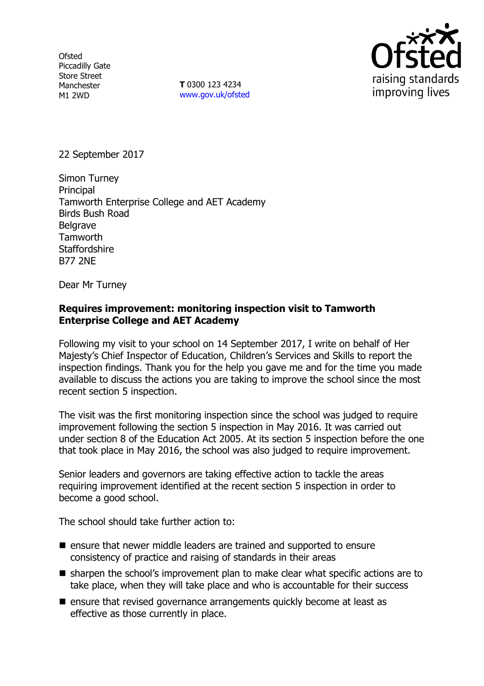**Ofsted** Piccadilly Gate Store Street Manchester M1 2WD

**T** 0300 123 4234 www.gov.uk/ofsted



22 September 2017

Simon Turney Principal Tamworth Enterprise College and AET Academy Birds Bush Road **Belgrave Tamworth Staffordshire** B77 2NE

Dear Mr Turney

#### **Requires improvement: monitoring inspection visit to Tamworth Enterprise College and AET Academy**

Following my visit to your school on 14 September 2017, I write on behalf of Her Majesty's Chief Inspector of Education, Children's Services and Skills to report the inspection findings. Thank you for the help you gave me and for the time you made available to discuss the actions you are taking to improve the school since the most recent section 5 inspection.

The visit was the first monitoring inspection since the school was judged to require improvement following the section 5 inspection in May 2016. It was carried out under section 8 of the Education Act 2005. At its section 5 inspection before the one that took place in May 2016, the school was also judged to require improvement.

Senior leaders and governors are taking effective action to tackle the areas requiring improvement identified at the recent section 5 inspection in order to become a good school.

The school should take further action to:

- **E** ensure that newer middle leaders are trained and supported to ensure consistency of practice and raising of standards in their areas
- $\blacksquare$  sharpen the school's improvement plan to make clear what specific actions are to take place, when they will take place and who is accountable for their success
- $\blacksquare$  ensure that revised governance arrangements quickly become at least as effective as those currently in place.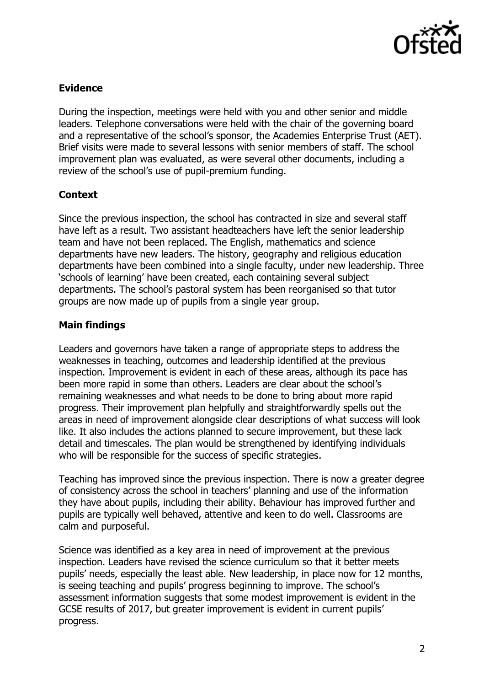

# **Evidence**

During the inspection, meetings were held with you and other senior and middle leaders. Telephone conversations were held with the chair of the governing board and a representative of the school's sponsor, the Academies Enterprise Trust (AET). Brief visits were made to several lessons with senior members of staff. The school improvement plan was evaluated, as were several other documents, including a review of the school's use of pupil-premium funding.

## **Context**

Since the previous inspection, the school has contracted in size and several staff have left as a result. Two assistant headteachers have left the senior leadership team and have not been replaced. The English, mathematics and science departments have new leaders. The history, geography and religious education departments have been combined into a single faculty, under new leadership. Three 'schools of learning' have been created, each containing several subject departments. The school's pastoral system has been reorganised so that tutor groups are now made up of pupils from a single year group.

## **Main findings**

Leaders and governors have taken a range of appropriate steps to address the weaknesses in teaching, outcomes and leadership identified at the previous inspection. Improvement is evident in each of these areas, although its pace has been more rapid in some than others. Leaders are clear about the school's remaining weaknesses and what needs to be done to bring about more rapid progress. Their improvement plan helpfully and straightforwardly spells out the areas in need of improvement alongside clear descriptions of what success will look like. It also includes the actions planned to secure improvement, but these lack detail and timescales. The plan would be strengthened by identifying individuals who will be responsible for the success of specific strategies.

Teaching has improved since the previous inspection. There is now a greater degree of consistency across the school in teachers' planning and use of the information they have about pupils, including their ability. Behaviour has improved further and pupils are typically well behaved, attentive and keen to do well. Classrooms are calm and purposeful.

Science was identified as a key area in need of improvement at the previous inspection. Leaders have revised the science curriculum so that it better meets pupils' needs, especially the least able. New leadership, in place now for 12 months, is seeing teaching and pupils' progress beginning to improve. The school's assessment information suggests that some modest improvement is evident in the GCSE results of 2017, but greater improvement is evident in current pupils' progress.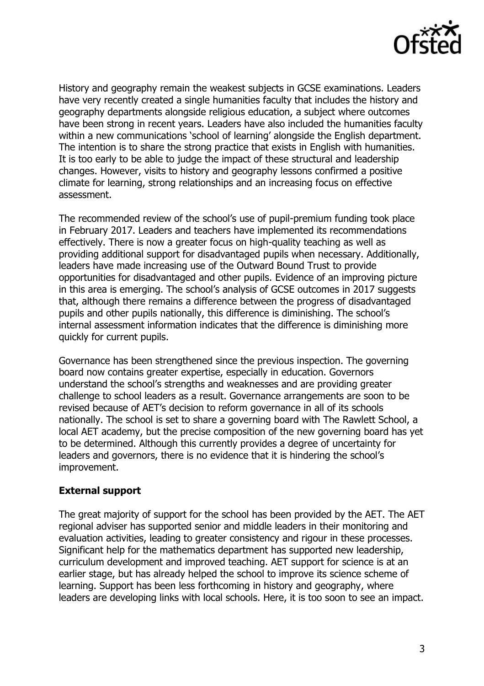

History and geography remain the weakest subjects in GCSE examinations. Leaders have very recently created a single humanities faculty that includes the history and geography departments alongside religious education, a subject where outcomes have been strong in recent years. Leaders have also included the humanities faculty within a new communications 'school of learning' alongside the English department. The intention is to share the strong practice that exists in English with humanities. It is too early to be able to judge the impact of these structural and leadership changes. However, visits to history and geography lessons confirmed a positive climate for learning, strong relationships and an increasing focus on effective assessment.

The recommended review of the school's use of pupil-premium funding took place in February 2017. Leaders and teachers have implemented its recommendations effectively. There is now a greater focus on high-quality teaching as well as providing additional support for disadvantaged pupils when necessary. Additionally, leaders have made increasing use of the Outward Bound Trust to provide opportunities for disadvantaged and other pupils. Evidence of an improving picture in this area is emerging. The school's analysis of GCSE outcomes in 2017 suggests that, although there remains a difference between the progress of disadvantaged pupils and other pupils nationally, this difference is diminishing. The school's internal assessment information indicates that the difference is diminishing more quickly for current pupils.

Governance has been strengthened since the previous inspection. The governing board now contains greater expertise, especially in education. Governors understand the school's strengths and weaknesses and are providing greater challenge to school leaders as a result. Governance arrangements are soon to be revised because of AET's decision to reform governance in all of its schools nationally. The school is set to share a governing board with The Rawlett School, a local AET academy, but the precise composition of the new governing board has yet to be determined. Although this currently provides a degree of uncertainty for leaders and governors, there is no evidence that it is hindering the school's improvement.

#### **External support**

The great majority of support for the school has been provided by the AET. The AET regional adviser has supported senior and middle leaders in their monitoring and evaluation activities, leading to greater consistency and rigour in these processes. Significant help for the mathematics department has supported new leadership, curriculum development and improved teaching. AET support for science is at an earlier stage, but has already helped the school to improve its science scheme of learning. Support has been less forthcoming in history and geography, where leaders are developing links with local schools. Here, it is too soon to see an impact.